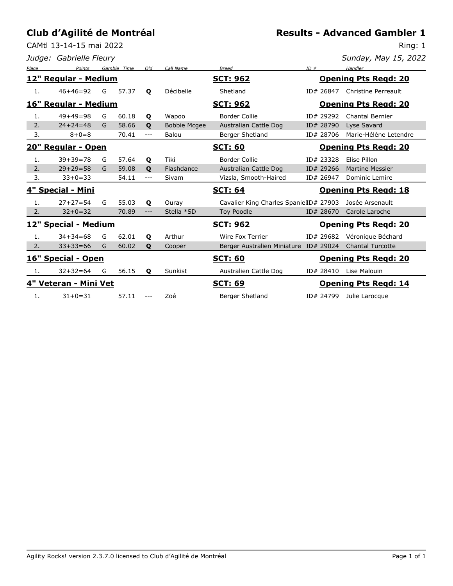CAMtl 13-14-15 mai 2022

*Judge: Gabrielle Fleury*

Ring: 1

| Sunday, May 15, 2022 |  |  |
|----------------------|--|--|
|                      |  |  |

| Place                | Points                | Gamble | Time  | O'd          | Call Name           | <b>Breed</b>                           | ID# |           | Handler                     |
|----------------------|-----------------------|--------|-------|--------------|---------------------|----------------------------------------|-----|-----------|-----------------------------|
|                      | 12" Regular - Medium  |        |       |              |                     | <b>SCT: 962</b>                        |     |           | <b>Opening Pts Regd: 20</b> |
| -1.                  | $46+46=92$            | G      | 57.37 | $\mathbf{o}$ | Décibelle           | Shetland                               |     | ID# 26847 | Christine Perreault         |
| 16" Regular - Medium |                       |        |       |              |                     | <b>SCT: 962</b>                        |     |           | <b>Opening Pts Regd: 20</b> |
| 1.                   | $49+49=98$            | G      | 60.18 | Q            | Wapoo               | Border Collie                          |     | ID# 29292 | Chantal Bernier             |
| 2.                   | $24 + 24 = 48$        | G      | 58.66 | $\mathbf{o}$ | <b>Bobbie Mcgee</b> | Australian Cattle Dog                  |     | ID# 28790 | Lyse Savard                 |
| 3.                   | $8 + 0 = 8$           |        | 70.41 | ---          | Balou               | Berger Shetland                        |     | ID# 28706 | Marie-Hélène Letendre       |
| 20" Regular - Open   |                       |        |       |              |                     | <b>SCT: 60</b>                         |     |           | <b>Opening Pts Regd: 20</b> |
| 1.                   | $39 + 39 = 78$        | G      | 57.64 | Q            | Tiki                | Border Collie                          |     | ID# 23328 | Elise Pillon                |
| 2.                   | $29 + 29 = 58$        | G      | 59.08 | $\mathbf{o}$ | Flashdance          | <b>Australian Cattle Dog</b>           |     | ID# 29266 | <b>Martine Messier</b>      |
| 3.                   | $33+0=33$             |        | 54.11 | $---$        | Sivam               | Vizsla, Smooth-Haired                  |     | ID# 26947 | <b>Dominic Lemire</b>       |
| 4" Special - Mini    |                       |        |       |              |                     |                                        |     |           |                             |
|                      |                       |        |       |              |                     | <b>SCT: 64</b>                         |     |           | <b>Opening Pts Regd: 18</b> |
| 1.                   | $27 + 27 = 54$        | G      | 55.03 | Q            | Ouray               | Cavalier King Charles SpanielID# 27903 |     |           | Josée Arsenault             |
| 2.                   | $32 + 0 = 32$         |        | 70.89 | $---$        | Stella *SD          | <b>Toy Poodle</b>                      |     | ID# 28670 | Carole Laroche              |
|                      | 12" Special - Medium  |        |       |              |                     | <b>SCT: 962</b>                        |     |           | <b>Opening Pts Regd: 20</b> |
| 1.                   | $34 + 34 = 68$        | G      | 62.01 | $\mathbf{o}$ | Arthur              | Wire Fox Terrier                       |     | ID# 29682 | Véronique Béchard           |
| 2.                   | $33+33=66$            | G      | 60.02 | $\mathbf{o}$ | Cooper              | Berger Australien Miniature ID# 29024  |     |           | <b>Chantal Turcotte</b>     |
|                      | 16" Special - Open    |        |       |              |                     | <b>SCT: 60</b>                         |     |           | <b>Opening Pts Regd: 20</b> |
|                      | $32 + 32 = 64$        | G      | 56.15 | Q            | Sunkist             | Australien Cattle Dog                  |     | ID# 28410 | Lise Malouin                |
|                      | 4" Veteran - Mini Vet |        |       |              |                     | <b>SCT: 69</b>                         |     |           | <b>Opening Pts Regd: 14</b> |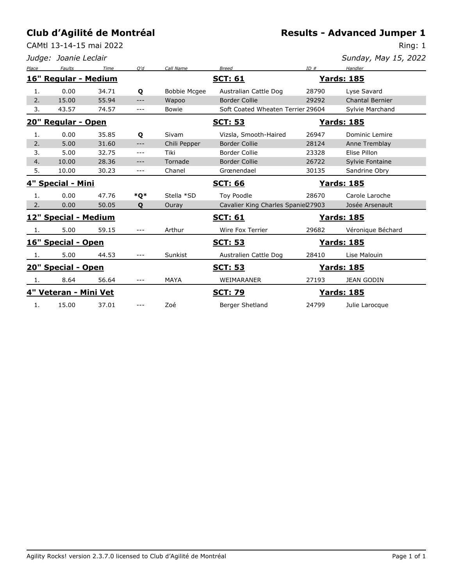CAMtl 13-14-15 mai 2022

**Results - Advanced Jumper 1**

Ring: 1

|       | Judge: Joanie Leclair |       |       |                     |                                    |       | Sunday, May 15, 2022   |
|-------|-----------------------|-------|-------|---------------------|------------------------------------|-------|------------------------|
| Place | <b>Faults</b>         | Time  | O'd   | Call Name           | <b>Breed</b>                       | ID#   | Handler                |
|       | 16" Regular - Medium  |       |       |                     | <b>SCT: 61</b>                     |       | <u> Yards: 185</u>     |
| 1.    | 0.00                  | 34.71 | Q     | <b>Bobbie Mcgee</b> | Australian Cattle Dog              | 28790 | Lyse Savard            |
| 2.    | 15.00                 | 55.94 | $---$ | Wapoo               | <b>Border Collie</b>               | 29292 | <b>Chantal Bernier</b> |
| 3.    | 43.57                 | 74.57 | ---   | <b>Bowie</b>        | Soft Coated Wheaten Terrier 29604  |       | Sylvie Marchand        |
|       | 20" Regular - Open    |       |       |                     | <b>SCT: 53</b>                     |       | <u> Yards: 185</u>     |
| 1.    | 0.00                  | 35.85 | Q     | Sivam               | Vizsla, Smooth-Haired              | 26947 | Dominic Lemire         |
| 2.    | 5.00                  | 31.60 | $---$ | Chili Pepper        | <b>Border Collie</b>               | 28124 | Anne Tremblay          |
| 3.    | 5.00                  | 32.75 | $---$ | Tiki                | <b>Border Collie</b>               | 23328 | Elise Pillon           |
| 4.    | 10.00                 | 28.36 | ---   | Tornade             | <b>Border Collie</b>               | 26722 | Sylvie Fontaine        |
| 5.    | 10.00                 | 30.23 | ---   | Chanel              | Grœnendael                         | 30135 | Sandrine Obry          |
|       | 4" Special - Mini     |       |       |                     | <b>SCT: 66</b>                     |       | <u>Yards: 185</u>      |
| 1.    | 0.00                  | 47.76 | *Q*   | Stella *SD          | Toy Poodle                         | 28670 | Carole Laroche         |
| 2.    | 0.00                  | 50.05 | Q     | Ouray               | Cavalier King Charles Spaniel27903 |       | Josée Arsenault        |
|       | 12" Special - Medium  |       |       |                     | <b>SCT: 61</b>                     |       | <u> Yards: 185</u>     |
| 1.    | 5.00                  | 59.15 | $---$ | Arthur              | Wire Fox Terrier                   | 29682 | Véronique Béchard      |
|       | 16" Special - Open    |       |       |                     | <b>SCT: 53</b>                     |       | <u> Yards: 185</u>     |
| -1.   | 5.00                  | 44.53 | $---$ | Sunkist             | Australien Cattle Dog              | 28410 | Lise Malouin           |
|       | 20" Special - Open    |       |       |                     | <b>SCT: 53</b>                     |       | <u> Yards: 185</u>     |
| 1.    | 8.64                  | 56.64 | $---$ | <b>MAYA</b>         | WEIMARANER                         | 27193 | <b>JEAN GODIN</b>      |
|       | 4" Veteran - Mini Vet |       |       |                     | <b>SCT: 79</b>                     |       | <u> Yards: 185</u>     |
| 1.    | 15.00                 | 37.01 | $---$ | Zoé                 | Berger Shetland                    | 24799 | Julie Larocque         |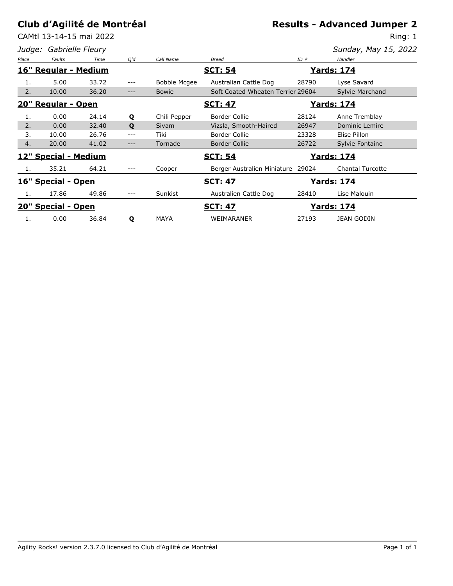CAMtl 13-14-15 mai 2022

*Judge: Gabrielle Fleury*

**Results - Advanced Jumper 2**

Ring: 1

| Sunday, May 15, 2022 |  |  |  |
|----------------------|--|--|--|
|----------------------|--|--|--|

| Place | <b>Faults</b>        | Time  | O'd | Call Name           | <b>Breed</b>                      | ID#   | Handler                 |
|-------|----------------------|-------|-----|---------------------|-----------------------------------|-------|-------------------------|
|       | 16" Regular - Medium |       |     |                     | <b>SCT: 54</b>                    |       | <b>Yards: 174</b>       |
| 1.    | 5.00                 | 33.72 | --- | <b>Bobbie Mcgee</b> | Australian Cattle Dog             | 28790 | Lyse Savard             |
| 2.    | 10.00                | 36.20 | --- | <b>Bowie</b>        | Soft Coated Wheaten Terrier 29604 |       | Sylvie Marchand         |
|       | 20" Regular - Open   |       |     |                     | <b>SCT: 47</b>                    |       | <b>Yards: 174</b>       |
| 1.    | 0.00                 | 24.14 | Q   | Chili Pepper        | <b>Border Collie</b>              | 28124 | Anne Tremblay           |
| 2.    | 0.00                 | 32.40 | Q   | <b>Sivam</b>        | Vizsla, Smooth-Haired             | 26947 | Dominic Lemire          |
| 3.    | 10.00                | 26.76 | --- | Tiki                | <b>Border Collie</b>              | 23328 | Elise Pillon            |
| 4.    | 20.00                | 41.02 | --- | Tornade             | <b>Border Collie</b>              | 26722 | Sylvie Fontaine         |
|       | 12" Special - Medium |       |     |                     | <b>SCT: 54</b>                    |       | <b>Yards: 174</b>       |
| 1.    | 35.21                | 64.21 | --- | Cooper              | Berger Australien Miniature 29024 |       | <b>Chantal Turcotte</b> |
|       | 16" Special - Open   |       |     |                     | <b>SCT: 47</b>                    |       | <b>Yards: 174</b>       |
| 1.    | 17.86                | 49.86 | --- | Sunkist             | Australien Cattle Dog             | 28410 | Lise Malouin            |
|       | 20" Special - Open   |       |     |                     | <b>SCT: 47</b>                    |       | <u>Yards: 174</u>       |
| 1.    | 0.00                 | 36.84 | Q   | <b>MAYA</b>         | WEIMARANER                        | 27193 | <b>JEAN GODIN</b>       |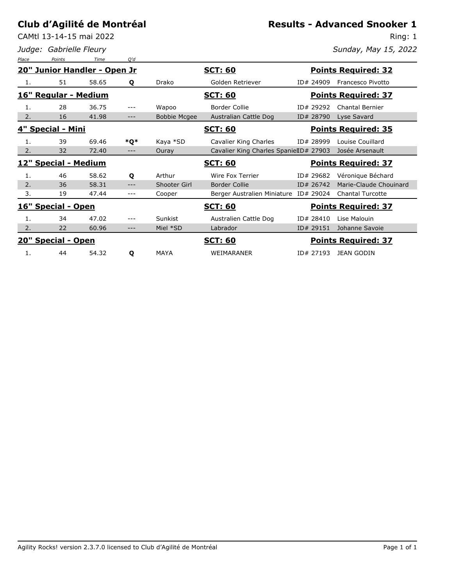CAMtl 13-14-15 mai 2022

*Judge: Gabrielle Fleury*

#### **Results - Advanced Snooker 1**

Ring: 1

*Sunday, May 15, 2022*

| Place                | Points                       | Time  | O'd   |                     |                                        |           |                            |
|----------------------|------------------------------|-------|-------|---------------------|----------------------------------------|-----------|----------------------------|
|                      | 20" Junior Handler - Open Jr |       |       |                     | <u>SCT: 60</u>                         |           | <b>Points Required: 32</b> |
| 1.                   | 51                           | 58.65 | Q     | Drako               | Golden Retriever                       | ID# 24909 | Francesco Pivotto          |
| 16" Regular - Medium |                              |       |       |                     | <u>SCT: 60</u>                         |           | <b>Points Required: 37</b> |
| 1.                   | 28                           | 36.75 | $---$ | Wapoo               | <b>Border Collie</b>                   | ID# 29292 | <b>Chantal Bernier</b>     |
| 2.                   | 16                           | 41.98 | ---   | <b>Bobbie Mcgee</b> | Australian Cattle Dog                  | ID# 28790 | Lyse Savard                |
|                      | 4" Special - Mini            |       |       |                     | <u>SCT: 60</u>                         |           | <b>Points Required: 35</b> |
| 1.                   | 39                           | 69.46 | *Q*   | Kaya *SD            | Cavalier King Charles                  | ID# 28999 | Louise Couillard           |
| 2.                   | 32                           | 72.40 | $---$ | Ouray               | Cavalier King Charles SpanielID# 27903 |           | Josée Arsenault            |
|                      | 12" Special - Medium         |       |       |                     | <u>SCT: 60</u>                         |           | <b>Points Required: 37</b> |
| 1.                   | 46                           | 58.62 | Q     | Arthur              | Wire Fox Terrier                       | ID# 29682 | Véronique Béchard          |
| 2.                   | 36                           | 58.31 |       | Shooter Girl        | <b>Border Collie</b>                   | ID# 26742 | Marie-Claude Chouinard     |
| 3.                   | 19                           | 47.44 | $---$ | Cooper              | Berger Australien Miniature ID# 29024  |           | <b>Chantal Turcotte</b>    |
|                      | 16" Special - Open           |       |       |                     | <b>SCT: 60</b>                         |           | <b>Points Required: 37</b> |
| 1.                   | 34                           | 47.02 | $---$ | Sunkist             | Australien Cattle Dog                  | ID# 28410 | Lise Malouin               |
| 2.                   | 22                           | 60.96 | ---   | Miel *SD            | Labrador                               | ID# 29151 | Johanne Savoie             |
|                      | 20" Special - Open           |       |       |                     | <b>SCT: 60</b>                         |           | <b>Points Required: 37</b> |
| 1.                   | 44                           | 54.32 | Q     | <b>MAYA</b>         | <b>WEIMARANER</b>                      | ID# 27193 | <b>JEAN GODIN</b>          |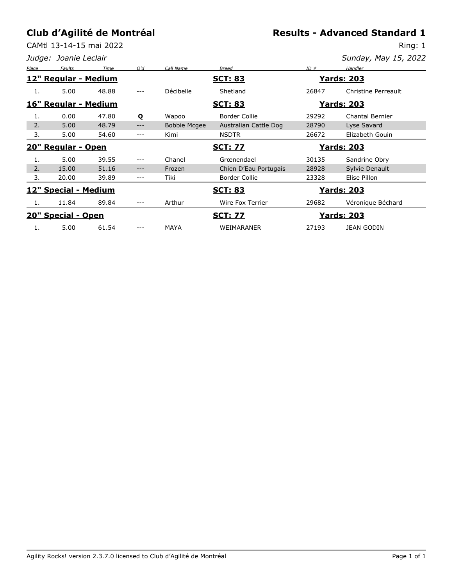# **Results - Advanced Standard 1**

CAMtl 13-14-15 mai 2022

Ring: 1 *Sunday, May 15, 2022*

|       | Judge: Joanie Leclair |       |     |                     |                       |       | Sunday, May 15, 2022   |
|-------|-----------------------|-------|-----|---------------------|-----------------------|-------|------------------------|
| Place | Faults                | Time  | O'd | Call Name           | <b>Breed</b>          | ID#   | Handler                |
|       | 12" Regular - Medium  |       |     |                     | <b>SCT: 83</b>        |       | <b>Yards: 203</b>      |
| 1.    | 5.00                  | 48.88 | --- | Décibelle           | Shetland              | 26847 | Christine Perreault    |
|       | 16" Regular - Medium  |       |     |                     | <b>SCT: 83</b>        |       | <b>Yards: 203</b>      |
| 1.    | 0.00                  | 47.80 | Q   | Wapoo               | <b>Border Collie</b>  | 29292 | <b>Chantal Bernier</b> |
| 2.    | 5.00                  | 48.79 | --- | <b>Bobbie Mcgee</b> | Australian Cattle Dog | 28790 | Lyse Savard            |
| 3.    | 5.00                  | 54.60 | --- | Kimi                | <b>NSDTR</b>          | 26672 | Elizabeth Gouin        |
|       | 20" Regular - Open    |       |     |                     | <b>SCT: 77</b>        |       | <b>Yards: 203</b>      |
| 1.    | 5.00                  | 39.55 | --- | Chanel              | Grœnendael            | 30135 | Sandrine Obry          |
| 2.    | 15.00                 | 51.16 | --- | Frozen              | Chien D'Eau Portugais | 28928 | Sylvie Denault         |
| 3.    | 20.00                 | 39.89 | --- | Tiki                | <b>Border Collie</b>  | 23328 | Elise Pillon           |
|       | 12" Special - Medium  |       |     |                     | <u>SCT: 83</u>        |       | <b>Yards: 203</b>      |
| 1.    | 11.84                 | 89.84 | --- | Arthur              | Wire Fox Terrier      | 29682 | Véronique Béchard      |
|       | 20" Special - Open    |       |     |                     | <b>SCT: 77</b>        |       | <u>Yards: 203</u>      |
| 1.    | 5.00                  | 61.54 | --- | <b>MAYA</b>         | WEIMARANER            | 27193 | <b>JEAN GODIN</b>      |